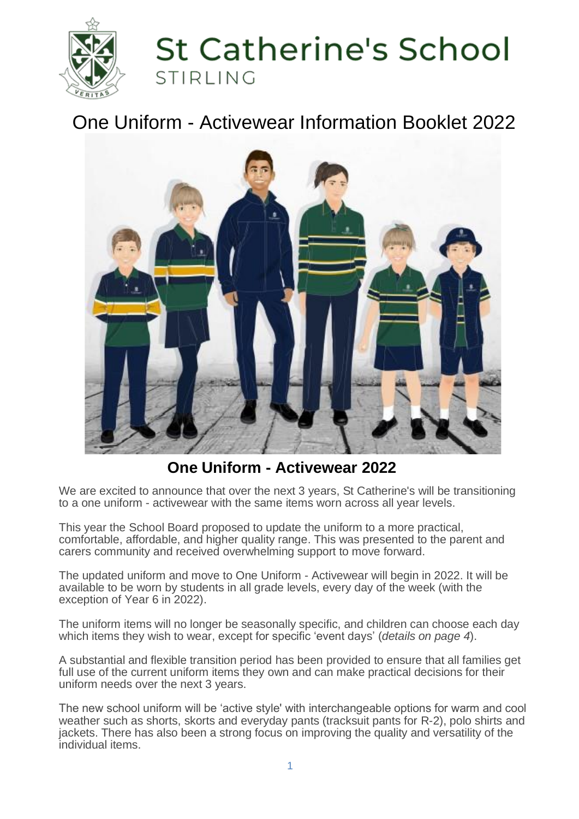

# **St Catherine's School** STIRLING

# One Uniform - Activewear Information Booklet 2022



**One Uniform - Activewear 2022**

We are excited to announce that over the next 3 years, St Catherine's will be transitioning to a one uniform - activewear with the same items worn across all year levels.

This year the School Board proposed to update the uniform to a more practical, comfortable, affordable, and higher quality range. This was presented to the parent and carers community and received overwhelming support to move forward.

The updated uniform and move to One Uniform - Activewear will begin in 2022. It will be available to be worn by students in all grade levels, every day of the week (with the exception of Year 6 in 2022).

The uniform items will no longer be seasonally specific, and children can choose each day which items they wish to wear, except for specific 'event days' (*details on page 4*).

A substantial and flexible transition period has been provided to ensure that all families get full use of the current uniform items they own and can make practical decisions for their uniform needs over the next 3 years.

The new school uniform will be 'active style' with interchangeable options for warm and cool weather such as shorts, skorts and everyday pants (tracksuit pants for R-2), polo shirts and jackets. There has also been a strong focus on improving the quality and versatility of the individual items.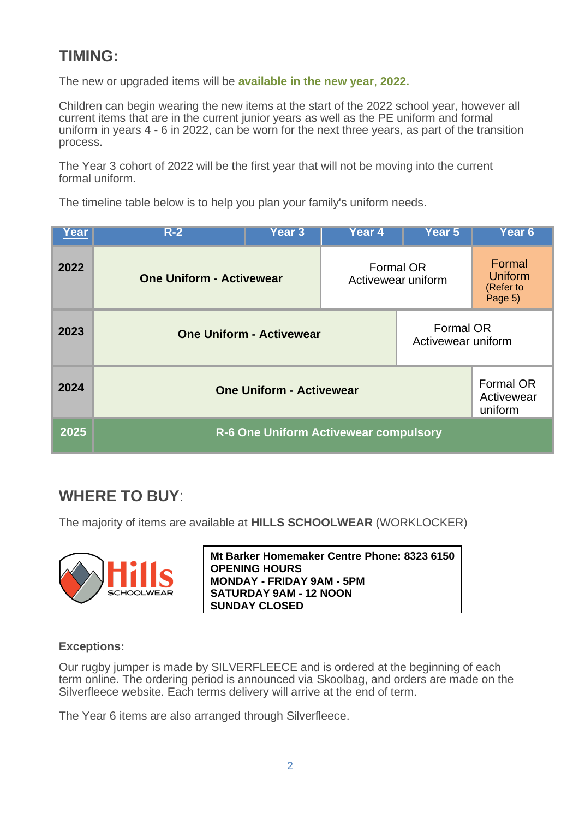# **TIMING:**

The new or upgraded items will be **available in the new year**, **2022.**

Children can begin wearing the new items at the start of the 2022 school year, however all current items that are in the current junior years as well as the PE uniform and formal uniform in years 4 - 6 in 2022, can be worn for the next three years, as part of the transition process.

The Year 3 cohort of 2022 will be the first year that will not be moving into the current formal uniform.

The timeline table below is to help you plan your family's uniform needs.

| Year | $R-2$                                 | <b>Year 3</b> | Year 4 | Year 5                                    | Year <sub>6</sub>                         |
|------|---------------------------------------|---------------|--------|-------------------------------------------|-------------------------------------------|
| 2022 | <b>One Uniform - Activewear</b>       |               |        | <b>Formal OR</b><br>Activewear uniform    | Formal<br>Uniform<br>(Refer to<br>Page 5) |
| 2023 | <b>One Uniform - Activewear</b>       |               |        | <b>Formal OR</b><br>Activewear uniform    |                                           |
| 2024 | <b>One Uniform - Activewear</b>       |               |        | <b>Formal OR</b><br>Activewear<br>uniform |                                           |
| 2025 | R-6 One Uniform Activewear compulsory |               |        |                                           |                                           |

# **WHERE TO BUY**:

The majority of items are available at **HILLS SCHOOLWEAR** (WORKLOCKER)



**Mt Barker Homemaker Centre Phone: 8323 6150 OPENING HOURS MONDAY - FRIDAY 9AM - 5PM SATURDAY 9AM - 12 NOON SUNDAY CLOSED** 

#### **Exceptions:**

Our rugby jumper is made by SILVERFLEECE and is ordered at the beginning of each term online. The ordering period is announced via Skoolbag, and orders are made on the Silverfleece website. Each terms delivery will arrive at the end of term.

The Year 6 items are also arranged through Silverfleece.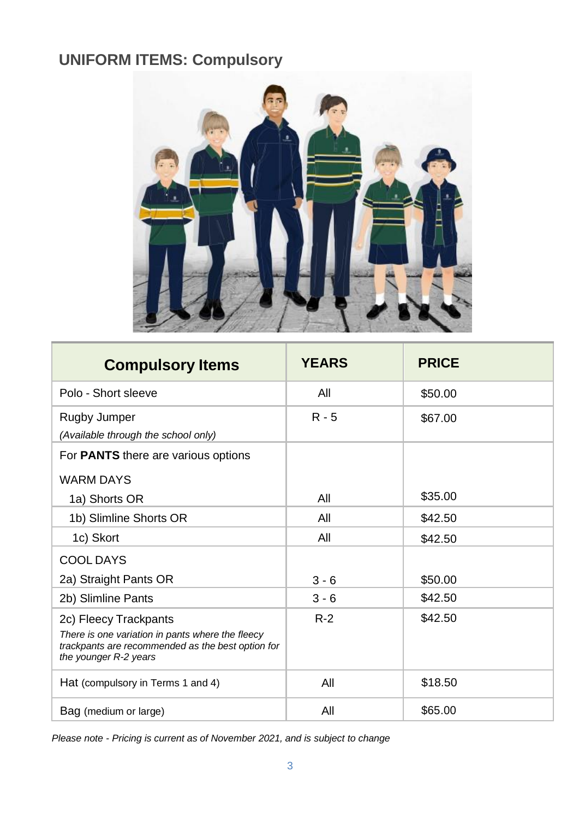# **UNIFORM ITEMS: Compulsory**



| <b>Compulsory Items</b>                                                                                                                                 | <b>YEARS</b> | <b>PRICE</b> |
|---------------------------------------------------------------------------------------------------------------------------------------------------------|--------------|--------------|
| Polo - Short sleeve                                                                                                                                     | All          | \$50.00      |
| <b>Rugby Jumper</b><br>(Available through the school only)                                                                                              | $R - 5$      | \$67.00      |
| For <b>PANTS</b> there are various options                                                                                                              |              |              |
| <b>WARM DAYS</b>                                                                                                                                        |              |              |
| 1a) Shorts OR                                                                                                                                           | All          | \$35.00      |
| 1b) Slimline Shorts OR                                                                                                                                  | All          | \$42.50      |
| 1c) Skort                                                                                                                                               | All          | \$42.50      |
| <b>COOL DAYS</b>                                                                                                                                        |              |              |
| 2a) Straight Pants OR                                                                                                                                   | $3 - 6$      | \$50.00      |
| 2b) Slimline Pants                                                                                                                                      | $3 - 6$      | \$42.50      |
| 2c) Fleecy Trackpants<br>There is one variation in pants where the fleecy<br>trackpants are recommended as the best option for<br>the younger R-2 years | $R-2$        | \$42.50      |
| Hat (compulsory in Terms 1 and 4)                                                                                                                       | All          | \$18.50      |
| Bag (medium or large)                                                                                                                                   | All          | \$65.00      |

*Please note - Pricing is current as of November 2021, and is subject to change*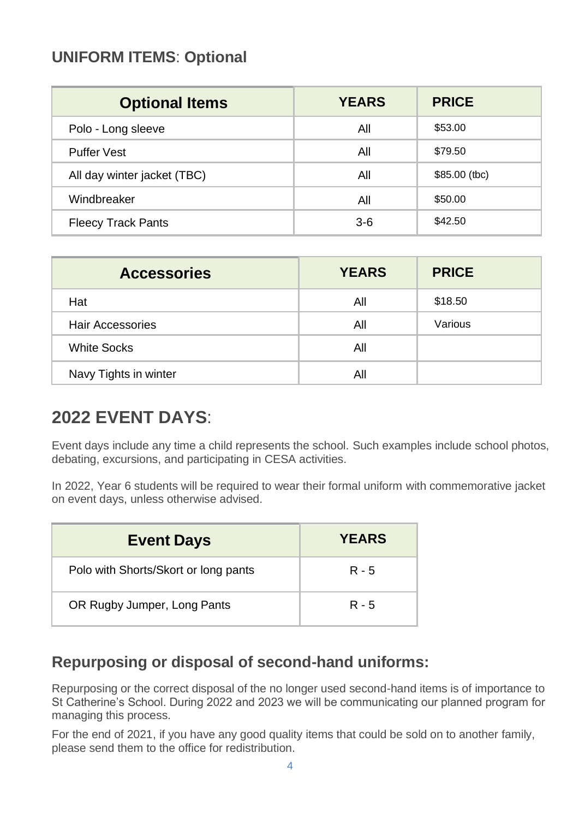## **UNIFORM ITEMS**: **Optional**

| <b>Optional Items</b>       | <b>YEARS</b> | <b>PRICE</b>   |
|-----------------------------|--------------|----------------|
| Polo - Long sleeve          | All          | \$53.00        |
| <b>Puffer Vest</b>          | All          | \$79.50        |
| All day winter jacket (TBC) | All          | $$85.00$ (tbc) |
| Windbreaker                 | All          | \$50.00        |
| <b>Fleecy Track Pants</b>   | $3-6$        | \$42.50        |

| <b>Accessories</b>      | <b>YEARS</b> | <b>PRICE</b> |
|-------------------------|--------------|--------------|
| Hat                     | All          | \$18.50      |
| <b>Hair Accessories</b> | All          | Various      |
| <b>White Socks</b>      | All          |              |
| Navy Tights in winter   | All          |              |

# **2022 EVENT DAYS**:

Event days include any time a child represents the school. Such examples include school photos, debating, excursions, and participating in CESA activities.

In 2022, Year 6 students will be required to wear their formal uniform with commemorative jacket on event days, unless otherwise advised.

| <b>Event Days</b>                    | <b>YEARS</b> |
|--------------------------------------|--------------|
| Polo with Shorts/Skort or long pants | R - 5        |
| OR Rugby Jumper, Long Pants          | R - 5        |

### **Repurposing or disposal of second-hand uniforms:**

Repurposing or the correct disposal of the no longer used second-hand items is of importance to St Catherine's School. During 2022 and 2023 we will be communicating our planned program for managing this process.

For the end of 2021, if you have any good quality items that could be sold on to another family, please send them to the office for redistribution.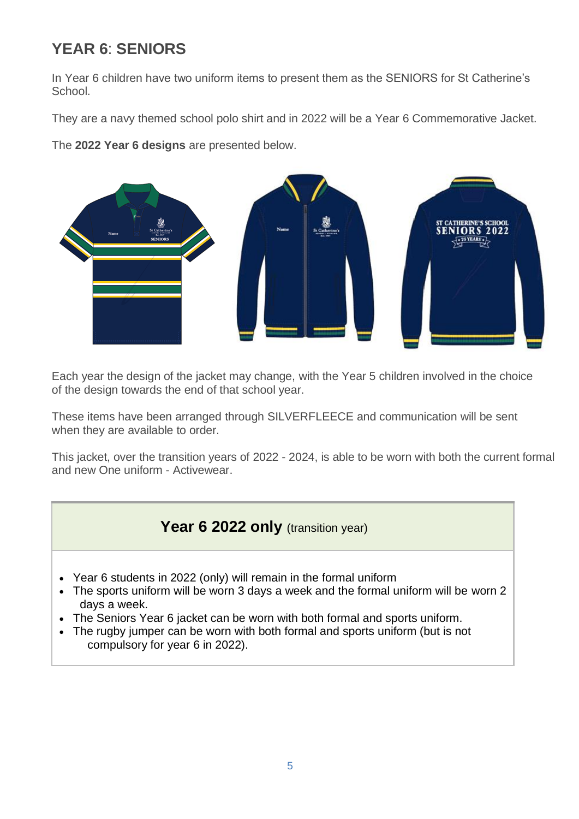# **YEAR 6**: **SENIORS**

In Year 6 children have two uniform items to present them as the SENIORS for St Catherine's School.

They are a navy themed school polo shirt and in 2022 will be a Year 6 Commemorative Jacket.

The **2022 Year 6 designs** are presented below.



Each year the design of the jacket may change, with the Year 5 children involved in the choice of the design towards the end of that school year.

These items have been arranged through SILVERFLEECE and communication will be sent when they are available to order.

This jacket, over the transition years of 2022 - 2024, is able to be worn with both the current formal and new One uniform - Activewear.